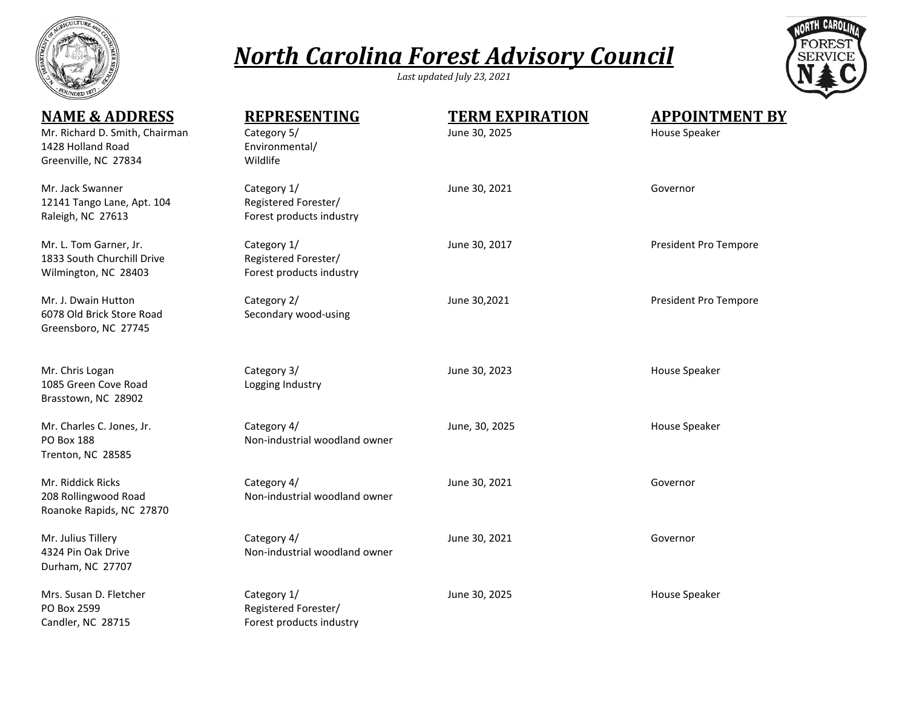

## *North Carolina Forest Advisory Council*

*Last updated July 23, 2021*



| <b>NAME &amp; ADDRESS</b><br>Mr. Richard D. Smith, Chairman<br>1428 Holland Road<br>Greenville, NC 27834 | <b>REPRESENTING</b><br>Category 5/<br>Environmental/<br>Wildlife | <b>TERM EXPIRATION</b><br>June 30, 2025 | <b>APPOINTMENT BY</b><br>House Speaker |
|----------------------------------------------------------------------------------------------------------|------------------------------------------------------------------|-----------------------------------------|----------------------------------------|
| Mr. Jack Swanner<br>12141 Tango Lane, Apt. 104<br>Raleigh, NC 27613                                      | Category 1/<br>Registered Forester/<br>Forest products industry  | June 30, 2021                           | Governor                               |
| Mr. L. Tom Garner, Jr.<br>1833 South Churchill Drive<br>Wilmington, NC 28403                             | Category 1/<br>Registered Forester/<br>Forest products industry  | June 30, 2017                           | President Pro Tempore                  |
| Mr. J. Dwain Hutton<br>6078 Old Brick Store Road<br>Greensboro, NC 27745                                 | Category 2/<br>Secondary wood-using                              | June 30,2021                            | President Pro Tempore                  |
| Mr. Chris Logan<br>1085 Green Cove Road<br>Brasstown, NC 28902                                           | Category 3/<br>Logging Industry                                  | June 30, 2023                           | House Speaker                          |
| Mr. Charles C. Jones, Jr.<br><b>PO Box 188</b><br>Trenton, NC 28585                                      | Category 4/<br>Non-industrial woodland owner                     | June, 30, 2025                          | House Speaker                          |
| Mr. Riddick Ricks<br>208 Rollingwood Road<br>Roanoke Rapids, NC 27870                                    | Category 4/<br>Non-industrial woodland owner                     | June 30, 2021                           | Governor                               |
| Mr. Julius Tillery<br>4324 Pin Oak Drive<br>Durham, NC 27707                                             | Category 4/<br>Non-industrial woodland owner                     | June 30, 2021                           | Governor                               |
| Mrs. Susan D. Fletcher<br>PO Box 2599<br>Candler, NC 28715                                               | Category 1/<br>Registered Forester/<br>Forest products industry  | June 30, 2025                           | House Speaker                          |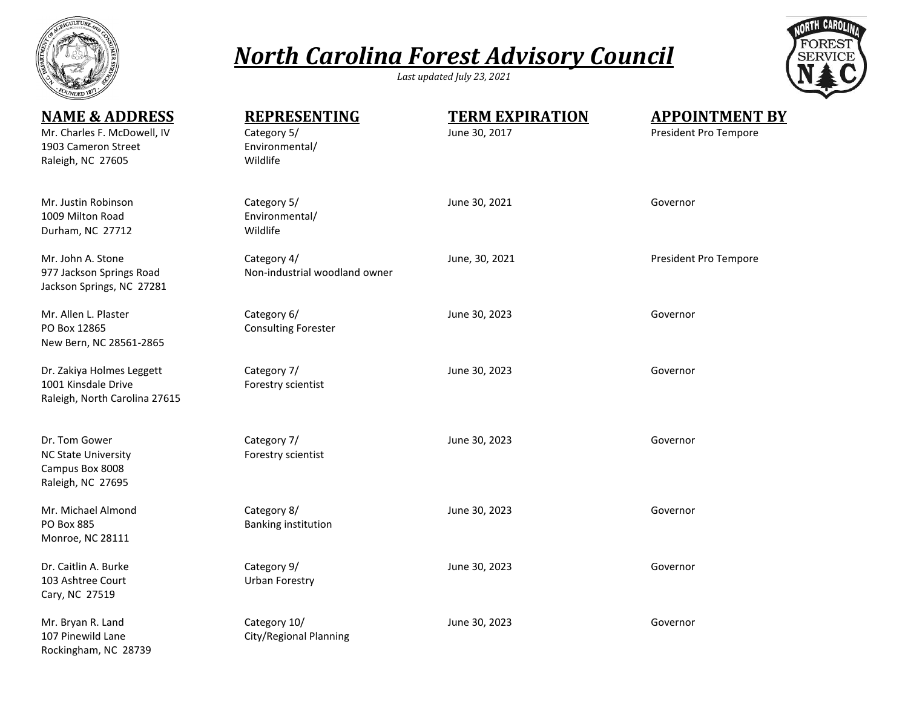

## *North Carolina Forest Advisory Council*

*Last updated July 23, 2021*



| <b>NAME &amp; ADDRESS</b><br>Mr. Charles F. McDowell, IV<br>1903 Cameron Street<br>Raleigh, NC 27605 | <b>REPRESENTING</b><br>Category 5/<br>Environmental/<br>Wildlife | <b>TERM EXPIRATION</b><br>June 30, 2017 | <b>APPOINTMENT BY</b><br>President Pro Tempore |
|------------------------------------------------------------------------------------------------------|------------------------------------------------------------------|-----------------------------------------|------------------------------------------------|
| Mr. Justin Robinson<br>1009 Milton Road<br>Durham, NC 27712                                          | Category 5/<br>Environmental/<br>Wildlife                        | June 30, 2021                           | Governor                                       |
| Mr. John A. Stone<br>977 Jackson Springs Road<br>Jackson Springs, NC 27281                           | Category 4/<br>Non-industrial woodland owner                     | June, 30, 2021                          | President Pro Tempore                          |
| Mr. Allen L. Plaster<br>PO Box 12865<br>New Bern, NC 28561-2865                                      | Category 6/<br><b>Consulting Forester</b>                        | June 30, 2023                           | Governor                                       |
| Dr. Zakiya Holmes Leggett<br>1001 Kinsdale Drive<br>Raleigh, North Carolina 27615                    | Category 7/<br>Forestry scientist                                | June 30, 2023                           | Governor                                       |
| Dr. Tom Gower<br><b>NC State University</b><br>Campus Box 8008<br>Raleigh, NC 27695                  | Category 7/<br>Forestry scientist                                | June 30, 2023                           | Governor                                       |
| Mr. Michael Almond<br>PO Box 885<br>Monroe, NC 28111                                                 | Category 8/<br>Banking institution                               | June 30, 2023                           | Governor                                       |
| Dr. Caitlin A. Burke<br>103 Ashtree Court<br>Cary, NC 27519                                          | Category 9/<br><b>Urban Forestry</b>                             | June 30, 2023                           | Governor                                       |
| Mr. Bryan R. Land<br>107 Pinewild Lane<br>Rockingham, NC 28739                                       | Category 10/<br>City/Regional Planning                           | June 30, 2023                           | Governor                                       |